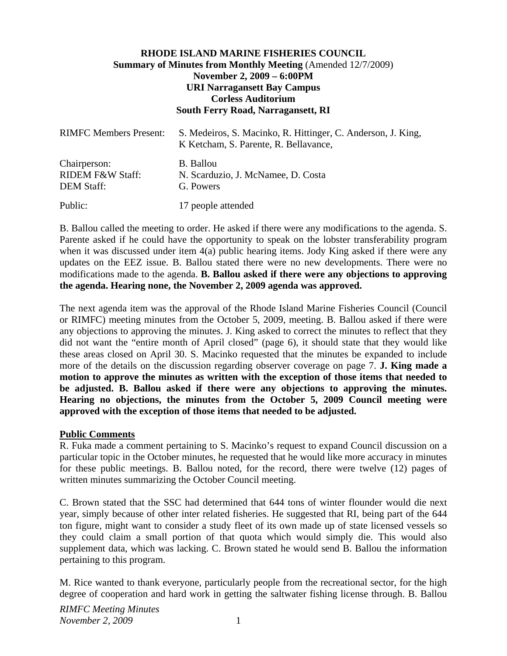## **RHODE ISLAND MARINE FISHERIES COUNCIL Summary of Minutes from Monthly Meeting** (Amended 12/7/2009) **November 2, 2009 – 6:00PM URI Narragansett Bay Campus Corless Auditorium South Ferry Road, Narragansett, RI**

| <b>RIMFC Members Present:</b>                                    | S. Medeiros, S. Macinko, R. Hittinger, C. Anderson, J. King,<br>K Ketcham, S. Parente, R. Bellavance, |
|------------------------------------------------------------------|-------------------------------------------------------------------------------------------------------|
| Chairperson:<br><b>RIDEM F&amp;W Staff:</b><br><b>DEM Staff:</b> | B. Ballou<br>N. Scarduzio, J. McNamee, D. Costa<br>G. Powers                                          |
| Public:                                                          | 17 people attended                                                                                    |

B. Ballou called the meeting to order. He asked if there were any modifications to the agenda. S. Parente asked if he could have the opportunity to speak on the lobster transferability program when it was discussed under item 4(a) public hearing items. Jody King asked if there were any updates on the EEZ issue. B. Ballou stated there were no new developments. There were no modifications made to the agenda. **B. Ballou asked if there were any objections to approving the agenda. Hearing none, the November 2, 2009 agenda was approved.**

The next agenda item was the approval of the Rhode Island Marine Fisheries Council (Council or RIMFC) meeting minutes from the October 5, 2009, meeting. B. Ballou asked if there were any objections to approving the minutes. J. King asked to correct the minutes to reflect that they did not want the "entire month of April closed" (page 6), it should state that they would like these areas closed on April 30. S. Macinko requested that the minutes be expanded to include more of the details on the discussion regarding observer coverage on page 7. **J. King made a motion to approve the minutes as written with the exception of those items that needed to be adjusted. B. Ballou asked if there were any objections to approving the minutes. Hearing no objections, the minutes from the October 5, 2009 Council meeting were approved with the exception of those items that needed to be adjusted.**

### **Public Comments**

R. Fuka made a comment pertaining to S. Macinko's request to expand Council discussion on a particular topic in the October minutes, he requested that he would like more accuracy in minutes for these public meetings. B. Ballou noted, for the record, there were twelve (12) pages of written minutes summarizing the October Council meeting.

C. Brown stated that the SSC had determined that 644 tons of winter flounder would die next year, simply because of other inter related fisheries. He suggested that RI, being part of the 644 ton figure, might want to consider a study fleet of its own made up of state licensed vessels so they could claim a small portion of that quota which would simply die. This would also supplement data, which was lacking. C. Brown stated he would send B. Ballou the information pertaining to this program.

M. Rice wanted to thank everyone, particularly people from the recreational sector, for the high degree of cooperation and hard work in getting the saltwater fishing license through. B. Ballou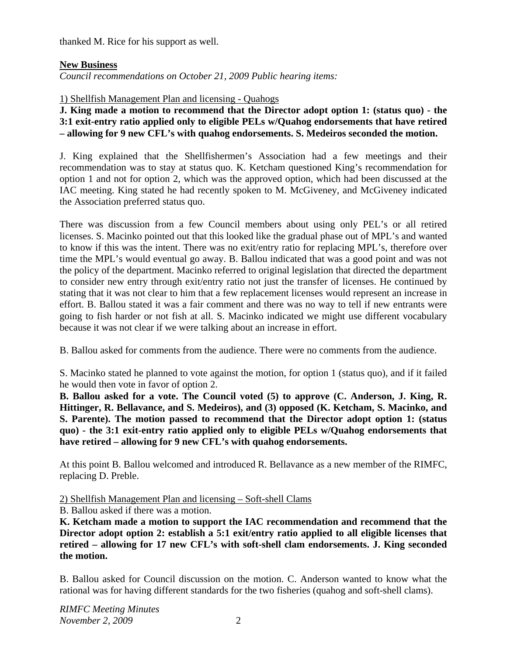thanked M. Rice for his support as well.

## **New Business**

*Council recommendations on October 21, 2009 Public hearing items:* 

1) Shellfish Management Plan and licensing - Quahogs

**J. King made a motion to recommend that the Director adopt option 1: (status quo) - the 3:1 exit-entry ratio applied only to eligible PELs w/Quahog endorsements that have retired – allowing for 9 new CFL's with quahog endorsements. S. Medeiros seconded the motion.** 

J. King explained that the Shellfishermen's Association had a few meetings and their recommendation was to stay at status quo. K. Ketcham questioned King's recommendation for option 1 and not for option 2, which was the approved option, which had been discussed at the IAC meeting. King stated he had recently spoken to M. McGiveney, and McGiveney indicated the Association preferred status quo.

There was discussion from a few Council members about using only PEL's or all retired licenses. S. Macinko pointed out that this looked like the gradual phase out of MPL's and wanted to know if this was the intent. There was no exit/entry ratio for replacing MPL's, therefore over time the MPL's would eventual go away. B. Ballou indicated that was a good point and was not the policy of the department. Macinko referred to original legislation that directed the department to consider new entry through exit/entry ratio not just the transfer of licenses. He continued by stating that it was not clear to him that a few replacement licenses would represent an increase in effort. B. Ballou stated it was a fair comment and there was no way to tell if new entrants were going to fish harder or not fish at all. S. Macinko indicated we might use different vocabulary because it was not clear if we were talking about an increase in effort.

B. Ballou asked for comments from the audience. There were no comments from the audience.

S. Macinko stated he planned to vote against the motion, for option 1 (status quo), and if it failed he would then vote in favor of option 2.

**B. Ballou asked for a vote. The Council voted (5) to approve (C. Anderson, J. King, R. Hittinger, R. Bellavance, and S. Medeiros), and (3) opposed (K. Ketcham, S. Macinko, and S. Parente). The motion passed to recommend that the Director adopt option 1: (status quo) - the 3:1 exit-entry ratio applied only to eligible PELs w/Quahog endorsements that have retired – allowing for 9 new CFL's with quahog endorsements.** 

At this point B. Ballou welcomed and introduced R. Bellavance as a new member of the RIMFC, replacing D. Preble.

2) Shellfish Management Plan and licensing – Soft-shell Clams

B. Ballou asked if there was a motion.

**K. Ketcham made a motion to support the IAC recommendation and recommend that the Director adopt option 2: establish a 5:1 exit/entry ratio applied to all eligible licenses that retired – allowing for 17 new CFL's with soft-shell clam endorsements. J. King seconded the motion.** 

B. Ballou asked for Council discussion on the motion. C. Anderson wanted to know what the rational was for having different standards for the two fisheries (quahog and soft-shell clams).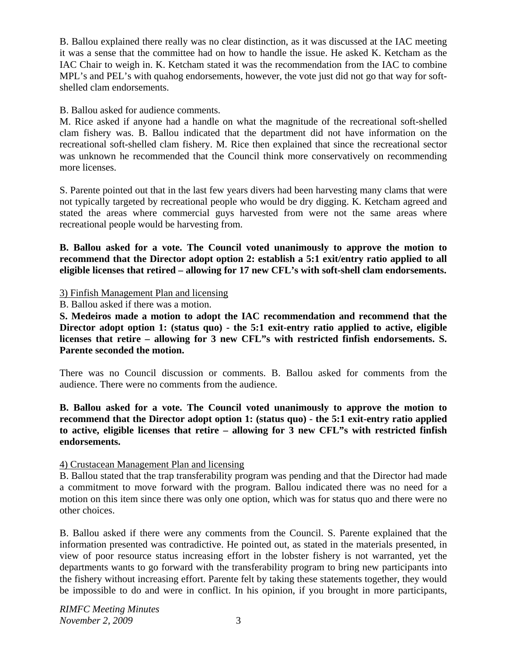B. Ballou explained there really was no clear distinction, as it was discussed at the IAC meeting it was a sense that the committee had on how to handle the issue. He asked K. Ketcham as the IAC Chair to weigh in. K. Ketcham stated it was the recommendation from the IAC to combine MPL's and PEL's with quahog endorsements, however, the vote just did not go that way for softshelled clam endorsements.

## B. Ballou asked for audience comments.

M. Rice asked if anyone had a handle on what the magnitude of the recreational soft-shelled clam fishery was. B. Ballou indicated that the department did not have information on the recreational soft-shelled clam fishery. M. Rice then explained that since the recreational sector was unknown he recommended that the Council think more conservatively on recommending more licenses.

S. Parente pointed out that in the last few years divers had been harvesting many clams that were not typically targeted by recreational people who would be dry digging. K. Ketcham agreed and stated the areas where commercial guys harvested from were not the same areas where recreational people would be harvesting from.

**B. Ballou asked for a vote. The Council voted unanimously to approve the motion to recommend that the Director adopt option 2: establish a 5:1 exit/entry ratio applied to all eligible licenses that retired – allowing for 17 new CFL's with soft-shell clam endorsements.**

# 3) Finfish Management Plan and licensing

B. Ballou asked if there was a motion.

**S. Medeiros made a motion to adopt the IAC recommendation and recommend that the Director adopt option 1: (status quo) - the 5:1 exit-entry ratio applied to active, eligible licenses that retire – allowing for 3 new CFL"s with restricted finfish endorsements. S. Parente seconded the motion.** 

There was no Council discussion or comments. B. Ballou asked for comments from the audience. There were no comments from the audience.

**B. Ballou asked for a vote. The Council voted unanimously to approve the motion to recommend that the Director adopt option 1: (status quo) - the 5:1 exit-entry ratio applied to active, eligible licenses that retire – allowing for 3 new CFL"s with restricted finfish endorsements.**

## 4) Crustacean Management Plan and licensing

B. Ballou stated that the trap transferability program was pending and that the Director had made a commitment to move forward with the program. Ballou indicated there was no need for a motion on this item since there was only one option, which was for status quo and there were no other choices.

B. Ballou asked if there were any comments from the Council. S. Parente explained that the information presented was contradictive. He pointed out, as stated in the materials presented, in view of poor resource status increasing effort in the lobster fishery is not warranted, yet the departments wants to go forward with the transferability program to bring new participants into the fishery without increasing effort. Parente felt by taking these statements together, they would be impossible to do and were in conflict. In his opinion, if you brought in more participants,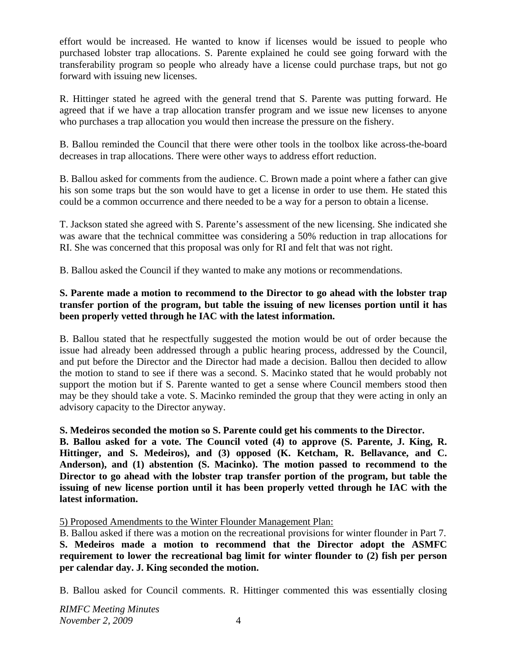effort would be increased. He wanted to know if licenses would be issued to people who purchased lobster trap allocations. S. Parente explained he could see going forward with the transferability program so people who already have a license could purchase traps, but not go forward with issuing new licenses.

R. Hittinger stated he agreed with the general trend that S. Parente was putting forward. He agreed that if we have a trap allocation transfer program and we issue new licenses to anyone who purchases a trap allocation you would then increase the pressure on the fishery.

B. Ballou reminded the Council that there were other tools in the toolbox like across-the-board decreases in trap allocations. There were other ways to address effort reduction.

B. Ballou asked for comments from the audience. C. Brown made a point where a father can give his son some traps but the son would have to get a license in order to use them. He stated this could be a common occurrence and there needed to be a way for a person to obtain a license.

T. Jackson stated she agreed with S. Parente's assessment of the new licensing. She indicated she was aware that the technical committee was considering a 50% reduction in trap allocations for RI. She was concerned that this proposal was only for RI and felt that was not right.

B. Ballou asked the Council if they wanted to make any motions or recommendations.

# **S. Parente made a motion to recommend to the Director to go ahead with the lobster trap transfer portion of the program, but table the issuing of new licenses portion until it has been properly vetted through he IAC with the latest information.**

B. Ballou stated that he respectfully suggested the motion would be out of order because the issue had already been addressed through a public hearing process, addressed by the Council, and put before the Director and the Director had made a decision. Ballou then decided to allow the motion to stand to see if there was a second. S. Macinko stated that he would probably not support the motion but if S. Parente wanted to get a sense where Council members stood then may be they should take a vote. S. Macinko reminded the group that they were acting in only an advisory capacity to the Director anyway.

# **S. Medeiros seconded the motion so S. Parente could get his comments to the Director.**

**B. Ballou asked for a vote. The Council voted (4) to approve (S. Parente, J. King, R. Hittinger, and S. Medeiros), and (3) opposed (K. Ketcham, R. Bellavance, and C. Anderson), and (1) abstention (S. Macinko). The motion passed to recommend to the Director to go ahead with the lobster trap transfer portion of the program, but table the issuing of new license portion until it has been properly vetted through he IAC with the latest information.** 

5) Proposed Amendments to the Winter Flounder Management Plan:

B. Ballou asked if there was a motion on the recreational provisions for winter flounder in Part 7. **S. Medeiros made a motion to recommend that the Director adopt the ASMFC requirement to lower the recreational bag limit for winter flounder to (2) fish per person per calendar day. J. King seconded the motion.**

B. Ballou asked for Council comments. R. Hittinger commented this was essentially closing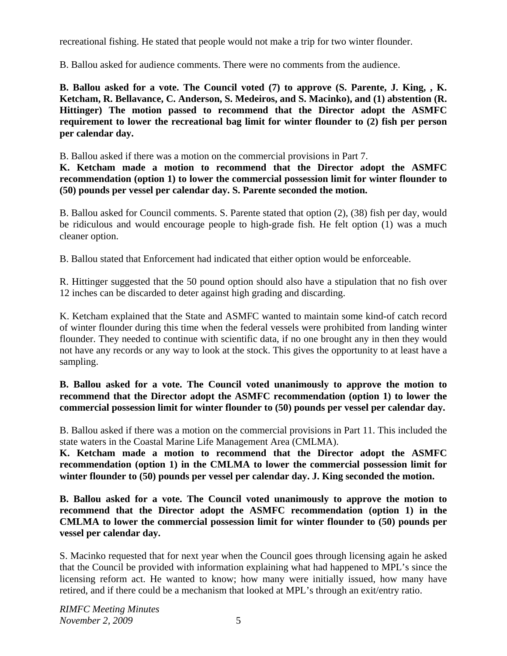recreational fishing. He stated that people would not make a trip for two winter flounder.

B. Ballou asked for audience comments. There were no comments from the audience.

**B. Ballou asked for a vote. The Council voted (7) to approve (S. Parente, J. King, , K. Ketcham, R. Bellavance, C. Anderson, S. Medeiros, and S. Macinko), and (1) abstention (R. Hittinger) The motion passed to recommend that the Director adopt the ASMFC requirement to lower the recreational bag limit for winter flounder to (2) fish per person per calendar day.**

B. Ballou asked if there was a motion on the commercial provisions in Part 7.

**K. Ketcham made a motion to recommend that the Director adopt the ASMFC recommendation (option 1) to lower the commercial possession limit for winter flounder to (50) pounds per vessel per calendar day. S. Parente seconded the motion.**

B. Ballou asked for Council comments. S. Parente stated that option (2), (38) fish per day, would be ridiculous and would encourage people to high-grade fish. He felt option (1) was a much cleaner option.

B. Ballou stated that Enforcement had indicated that either option would be enforceable.

R. Hittinger suggested that the 50 pound option should also have a stipulation that no fish over 12 inches can be discarded to deter against high grading and discarding.

K. Ketcham explained that the State and ASMFC wanted to maintain some kind-of catch record of winter flounder during this time when the federal vessels were prohibited from landing winter flounder. They needed to continue with scientific data, if no one brought any in then they would not have any records or any way to look at the stock. This gives the opportunity to at least have a sampling.

# **B. Ballou asked for a vote. The Council voted unanimously to approve the motion to recommend that the Director adopt the ASMFC recommendation (option 1) to lower the commercial possession limit for winter flounder to (50) pounds per vessel per calendar day.**

B. Ballou asked if there was a motion on the commercial provisions in Part 11. This included the state waters in the Coastal Marine Life Management Area (CMLMA).

**K. Ketcham made a motion to recommend that the Director adopt the ASMFC recommendation (option 1) in the CMLMA to lower the commercial possession limit for winter flounder to (50) pounds per vessel per calendar day. J. King seconded the motion.**

**B. Ballou asked for a vote. The Council voted unanimously to approve the motion to recommend that the Director adopt the ASMFC recommendation (option 1) in the CMLMA to lower the commercial possession limit for winter flounder to (50) pounds per vessel per calendar day.**

S. Macinko requested that for next year when the Council goes through licensing again he asked that the Council be provided with information explaining what had happened to MPL's since the licensing reform act. He wanted to know; how many were initially issued, how many have retired, and if there could be a mechanism that looked at MPL's through an exit/entry ratio.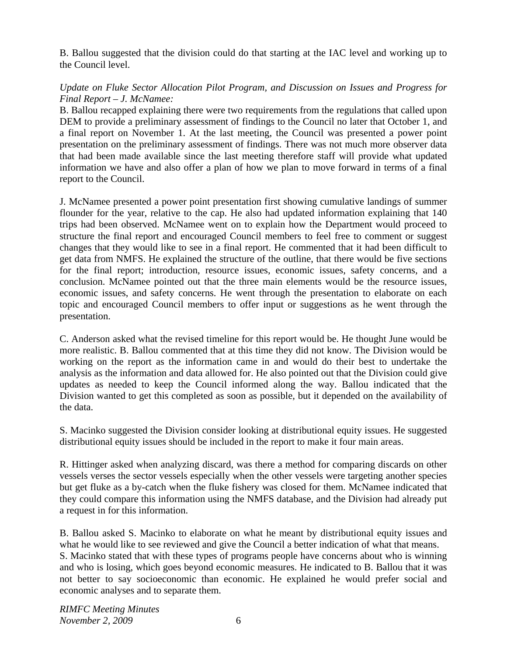B. Ballou suggested that the division could do that starting at the IAC level and working up to the Council level.

## *Update on Fluke Sector Allocation Pilot Program, and Discussion on Issues and Progress for Final Report – J. McNamee:*

B. Ballou recapped explaining there were two requirements from the regulations that called upon DEM to provide a preliminary assessment of findings to the Council no later that October 1, and a final report on November 1. At the last meeting, the Council was presented a power point presentation on the preliminary assessment of findings. There was not much more observer data that had been made available since the last meeting therefore staff will provide what updated information we have and also offer a plan of how we plan to move forward in terms of a final report to the Council.

J. McNamee presented a power point presentation first showing cumulative landings of summer flounder for the year, relative to the cap. He also had updated information explaining that 140 trips had been observed. McNamee went on to explain how the Department would proceed to structure the final report and encouraged Council members to feel free to comment or suggest changes that they would like to see in a final report. He commented that it had been difficult to get data from NMFS. He explained the structure of the outline, that there would be five sections for the final report; introduction, resource issues, economic issues, safety concerns, and a conclusion. McNamee pointed out that the three main elements would be the resource issues, economic issues, and safety concerns. He went through the presentation to elaborate on each topic and encouraged Council members to offer input or suggestions as he went through the presentation.

C. Anderson asked what the revised timeline for this report would be. He thought June would be more realistic. B. Ballou commented that at this time they did not know. The Division would be working on the report as the information came in and would do their best to undertake the analysis as the information and data allowed for. He also pointed out that the Division could give updates as needed to keep the Council informed along the way. Ballou indicated that the Division wanted to get this completed as soon as possible, but it depended on the availability of the data.

S. Macinko suggested the Division consider looking at distributional equity issues. He suggested distributional equity issues should be included in the report to make it four main areas.

R. Hittinger asked when analyzing discard, was there a method for comparing discards on other vessels verses the sector vessels especially when the other vessels were targeting another species but get fluke as a by-catch when the fluke fishery was closed for them. McNamee indicated that they could compare this information using the NMFS database, and the Division had already put a request in for this information.

B. Ballou asked S. Macinko to elaborate on what he meant by distributional equity issues and what he would like to see reviewed and give the Council a better indication of what that means. S. Macinko stated that with these types of programs people have concerns about who is winning and who is losing, which goes beyond economic measures. He indicated to B. Ballou that it was not better to say socioeconomic than economic. He explained he would prefer social and economic analyses and to separate them.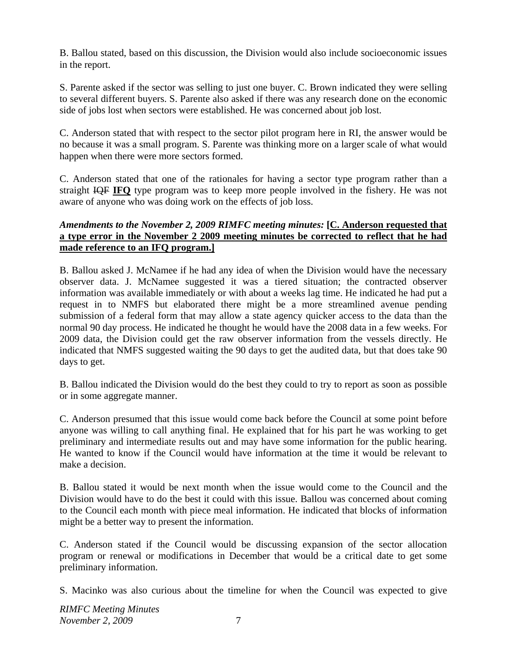B. Ballou stated, based on this discussion, the Division would also include socioeconomic issues in the report.

S. Parente asked if the sector was selling to just one buyer. C. Brown indicated they were selling to several different buyers. S. Parente also asked if there was any research done on the economic side of jobs lost when sectors were established. He was concerned about job lost.

C. Anderson stated that with respect to the sector pilot program here in RI, the answer would be no because it was a small program. S. Parente was thinking more on a larger scale of what would happen when there were more sectors formed.

C. Anderson stated that one of the rationales for having a sector type program rather than a straight IQF **IFQ** type program was to keep more people involved in the fishery. He was not aware of anyone who was doing work on the effects of job loss.

### *Amendments to the November 2, 2009 RIMFC meeting minutes:* **[C. Anderson requested that a type error in the November 2 2009 meeting minutes be corrected to reflect that he had made reference to an IFQ program.]**

B. Ballou asked J. McNamee if he had any idea of when the Division would have the necessary observer data. J. McNamee suggested it was a tiered situation; the contracted observer information was available immediately or with about a weeks lag time. He indicated he had put a request in to NMFS but elaborated there might be a more streamlined avenue pending submission of a federal form that may allow a state agency quicker access to the data than the normal 90 day process. He indicated he thought he would have the 2008 data in a few weeks. For 2009 data, the Division could get the raw observer information from the vessels directly. He indicated that NMFS suggested waiting the 90 days to get the audited data, but that does take 90 days to get.

B. Ballou indicated the Division would do the best they could to try to report as soon as possible or in some aggregate manner.

C. Anderson presumed that this issue would come back before the Council at some point before anyone was willing to call anything final. He explained that for his part he was working to get preliminary and intermediate results out and may have some information for the public hearing. He wanted to know if the Council would have information at the time it would be relevant to make a decision.

B. Ballou stated it would be next month when the issue would come to the Council and the Division would have to do the best it could with this issue. Ballou was concerned about coming to the Council each month with piece meal information. He indicated that blocks of information might be a better way to present the information.

C. Anderson stated if the Council would be discussing expansion of the sector allocation program or renewal or modifications in December that would be a critical date to get some preliminary information.

S. Macinko was also curious about the timeline for when the Council was expected to give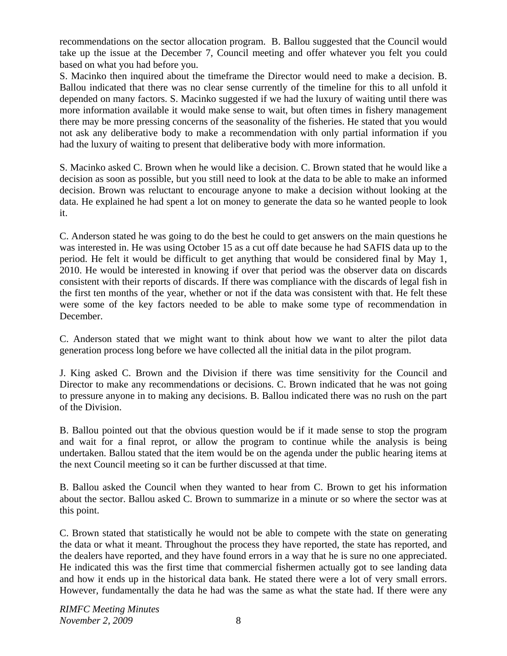recommendations on the sector allocation program. B. Ballou suggested that the Council would take up the issue at the December 7, Council meeting and offer whatever you felt you could based on what you had before you.

S. Macinko then inquired about the timeframe the Director would need to make a decision. B. Ballou indicated that there was no clear sense currently of the timeline for this to all unfold it depended on many factors. S. Macinko suggested if we had the luxury of waiting until there was more information available it would make sense to wait, but often times in fishery management there may be more pressing concerns of the seasonality of the fisheries. He stated that you would not ask any deliberative body to make a recommendation with only partial information if you had the luxury of waiting to present that deliberative body with more information.

S. Macinko asked C. Brown when he would like a decision. C. Brown stated that he would like a decision as soon as possible, but you still need to look at the data to be able to make an informed decision. Brown was reluctant to encourage anyone to make a decision without looking at the data. He explained he had spent a lot on money to generate the data so he wanted people to look it.

C. Anderson stated he was going to do the best he could to get answers on the main questions he was interested in. He was using October 15 as a cut off date because he had SAFIS data up to the period. He felt it would be difficult to get anything that would be considered final by May 1, 2010. He would be interested in knowing if over that period was the observer data on discards consistent with their reports of discards. If there was compliance with the discards of legal fish in the first ten months of the year, whether or not if the data was consistent with that. He felt these were some of the key factors needed to be able to make some type of recommendation in December.

C. Anderson stated that we might want to think about how we want to alter the pilot data generation process long before we have collected all the initial data in the pilot program.

J. King asked C. Brown and the Division if there was time sensitivity for the Council and Director to make any recommendations or decisions. C. Brown indicated that he was not going to pressure anyone in to making any decisions. B. Ballou indicated there was no rush on the part of the Division.

B. Ballou pointed out that the obvious question would be if it made sense to stop the program and wait for a final reprot, or allow the program to continue while the analysis is being undertaken. Ballou stated that the item would be on the agenda under the public hearing items at the next Council meeting so it can be further discussed at that time.

B. Ballou asked the Council when they wanted to hear from C. Brown to get his information about the sector. Ballou asked C. Brown to summarize in a minute or so where the sector was at this point.

C. Brown stated that statistically he would not be able to compete with the state on generating the data or what it meant. Throughout the process they have reported, the state has reported, and the dealers have reported, and they have found errors in a way that he is sure no one appreciated. He indicated this was the first time that commercial fishermen actually got to see landing data and how it ends up in the historical data bank. He stated there were a lot of very small errors. However, fundamentally the data he had was the same as what the state had. If there were any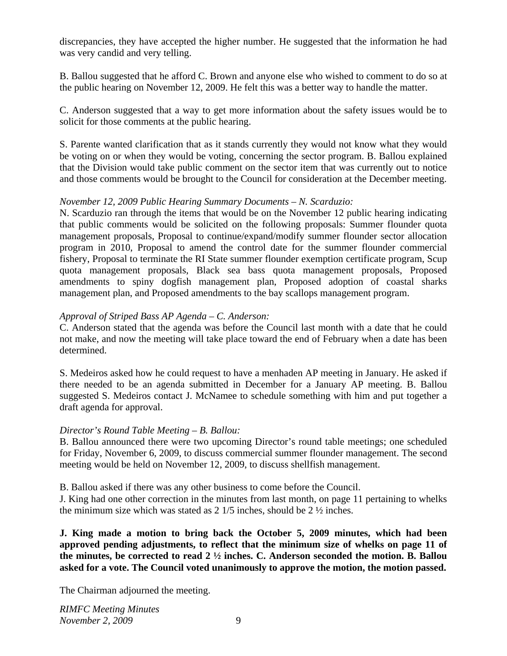discrepancies, they have accepted the higher number. He suggested that the information he had was very candid and very telling.

B. Ballou suggested that he afford C. Brown and anyone else who wished to comment to do so at the public hearing on November 12, 2009. He felt this was a better way to handle the matter.

C. Anderson suggested that a way to get more information about the safety issues would be to solicit for those comments at the public hearing.

S. Parente wanted clarification that as it stands currently they would not know what they would be voting on or when they would be voting, concerning the sector program. B. Ballou explained that the Division would take public comment on the sector item that was currently out to notice and those comments would be brought to the Council for consideration at the December meeting.

### *November 12, 2009 Public Hearing Summary Documents – N. Scarduzio:*

N. Scarduzio ran through the items that would be on the November 12 public hearing indicating that public comments would be solicited on the following proposals: Summer flounder quota management proposals, Proposal to continue/expand/modify summer flounder sector allocation program in 2010, Proposal to amend the control date for the summer flounder commercial fishery, Proposal to terminate the RI State summer flounder exemption certificate program, Scup quota management proposals, Black sea bass quota management proposals, Proposed amendments to spiny dogfish management plan, Proposed adoption of coastal sharks management plan, and Proposed amendments to the bay scallops management program.

### *Approval of Striped Bass AP Agenda – C. Anderson:*

C. Anderson stated that the agenda was before the Council last month with a date that he could not make, and now the meeting will take place toward the end of February when a date has been determined.

S. Medeiros asked how he could request to have a menhaden AP meeting in January. He asked if there needed to be an agenda submitted in December for a January AP meeting. B. Ballou suggested S. Medeiros contact J. McNamee to schedule something with him and put together a draft agenda for approval.

### *Director's Round Table Meeting – B. Ballou:*

B. Ballou announced there were two upcoming Director's round table meetings; one scheduled for Friday, November 6, 2009, to discuss commercial summer flounder management. The second meeting would be held on November 12, 2009, to discuss shellfish management.

B. Ballou asked if there was any other business to come before the Council.

J. King had one other correction in the minutes from last month, on page 11 pertaining to whelks the minimum size which was stated as 2 1/5 inches, should be 2 ½ inches.

**J. King made a motion to bring back the October 5, 2009 minutes, which had been approved pending adjustments, to reflect that the minimum size of whelks on page 11 of the minutes, be corrected to read 2 ½ inches. C. Anderson seconded the motion. B. Ballou asked for a vote. The Council voted unanimously to approve the motion, the motion passed.** 

The Chairman adjourned the meeting.